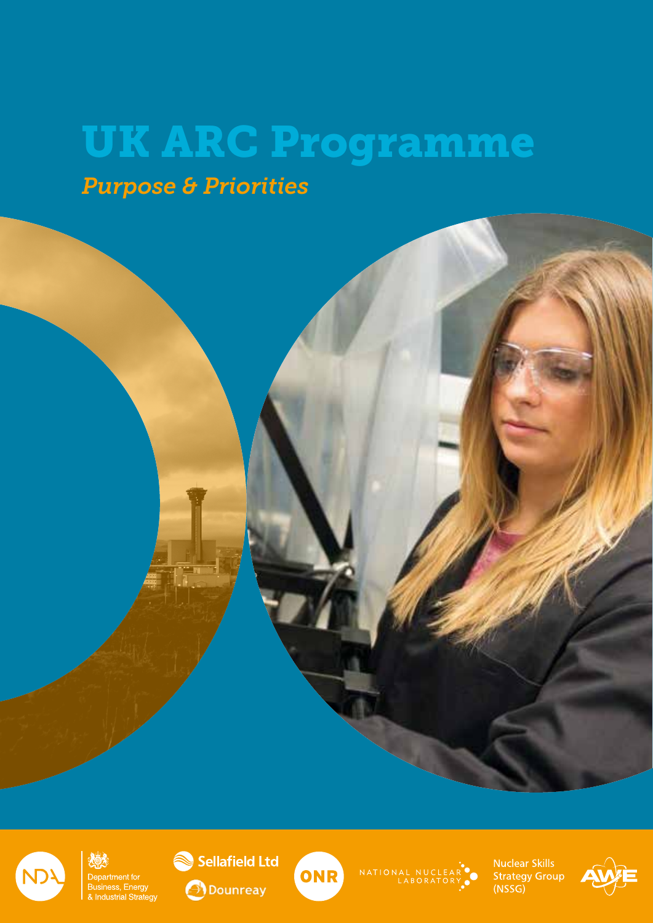# UK ARC Programme

*Purpose & Priorities*



Department for Business, Energy<br>& Industrial Strategy





NATIONAL NUCLEAR<sup><sup>1</sup></sup>

**Nuclear Skills Strategy Group**  $(NSSG)$ 

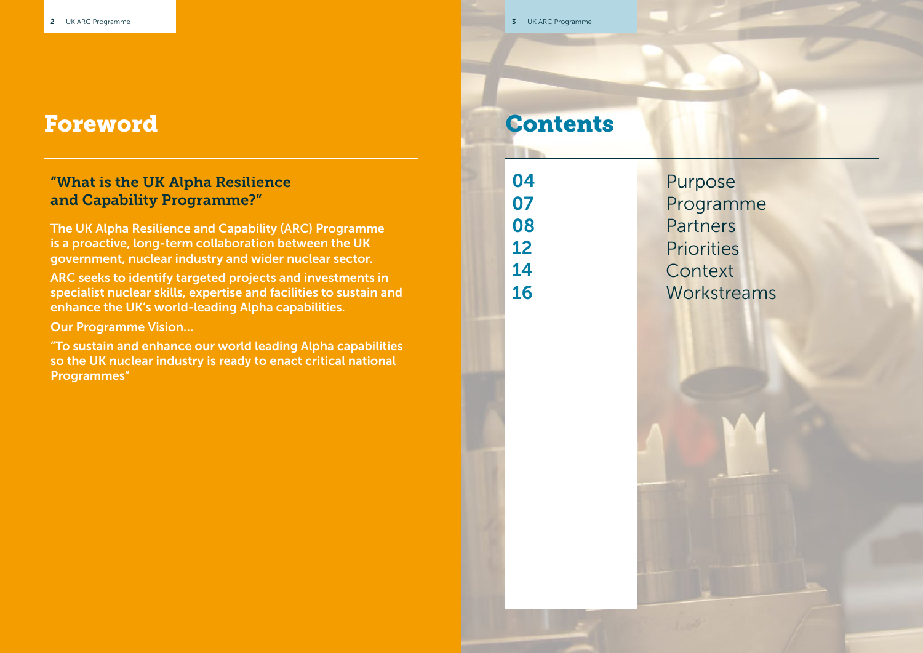| 3 | UK ARC Programme |
|---|------------------|
|   |                  |

### Contents

Purpose Programme Partners **Priorities Context** Workstreams

### Foreword

#### "What is the UK Alpha Resilience and Capability Programme?"

The UK Alpha Resilience and Capability (ARC) Programme is a proactive, long-term collaboration between the UK government, nuclear industry and wider nuclear sector.

ARC seeks to identify targeted projects and investments in specialist nuclear skills, expertise and facilities to sustain and enhance the UK's world-leading Alpha capabilities.

Our Programme Vision…

"To sustain and enhance our world leading Alpha capabilities so the UK nuclear industry is ready to enact critical national Programmes"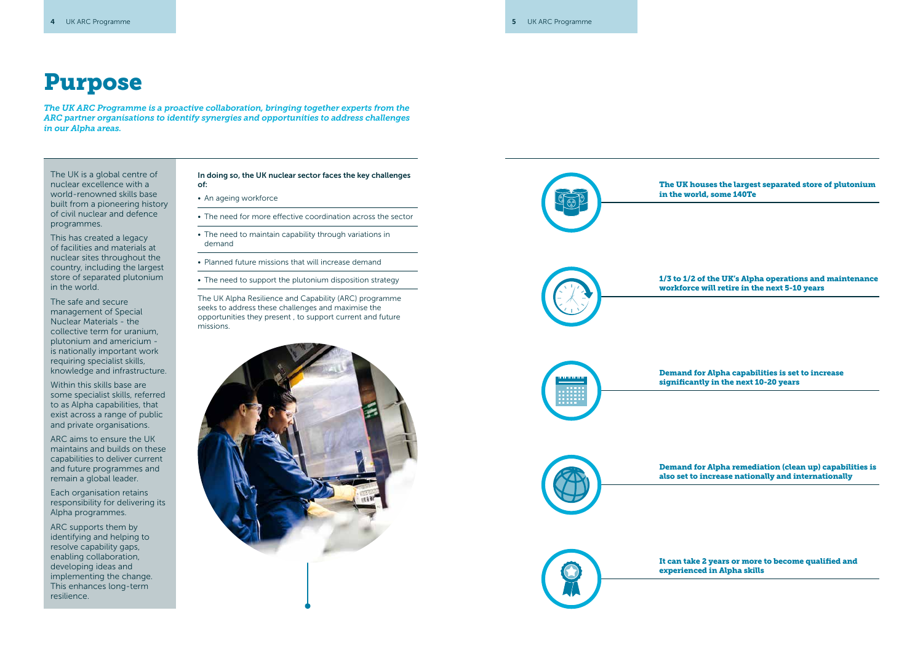# Purpose

The UK is a global centre of nuclear excellence with a world-renowned skills base built from a pioneering history of civil nuclear and defence programmes.

This has created a legacy of facilities and materials at nuclear sites throughout the country, including the largest store of separated plutonium in the world.

The safe and secure management of Special Nuclear Materials - the collective term for uranium, plutonium and americium is nationally important work requiring specialist skills, knowledge and infrastructure.

- An ageing workforce
- The need for more effective coordination across the sector
- The need to maintain capability through variations in demand
- Planned future missions that will increase demand
- The need to support the plutonium disposition strategy

Within this skills base are some specialist skills, referred to as Alpha capabilities, that exist across a range of public and private organisations.

ARC aims to ensure the UK maintains and builds on these capabilities to deliver current and future programmes and remain a global leader.

Each organisation retains responsibility for delivering its Alpha programmes.

ARC supports them by identifying and helping to resolve capability gaps, enabling collaboration, developing ideas and implementing the change. This enhances long-term resilience.

In doing so, the UK nuclear sector faces the key challenges of:

The UK Alpha Resilience and Capability (ARC) programme seeks to address these challenges and maximise the opportunities they present , to support current and future missions.





The UK houses the largest separated store of plutonium in the world, some 140Te

1/3 to 1/2 of the UK's Alpha operations and maintenance workforce will retire in the next 5-10 years

Demand for Alpha capabilities is set to increase significantly in the next 10-20 years

Demand for Alpha remediation (clean up) capabilities is also set to increase nationally and internationally

It can take 2 years or more to become qualified and experienced in Alpha skills

*The UK ARC Programme is a proactive collaboration, bringing together experts from the ARC partner organisations to identify synergies and opportunities to address challenges in our Alpha areas.*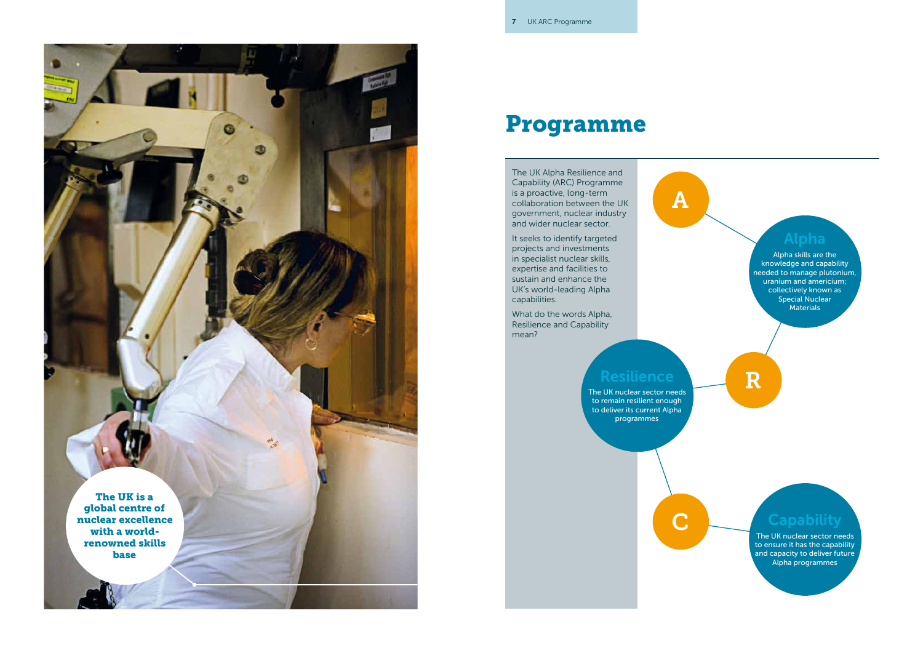#### Programme

The UK Alpha Resilience and Capability (ARC) Programme is a proactive, long-term collaboration between the UK government, nuclear industry and wider nuclear sector.

> Alpha skills are the knowledge and capability needed to manage plutonium, uranium and americium; collectively known as Special Nuclear **Materials**

It seeks to identify targeted projects and investments in specialist nuclear skills, expertise and facilities to sustain and enhance the UK's world-leading Alpha capabilities.

What do the words Alpha, Resilience and Capability mean?

A

#### Alpha

#### Resilience

R

C Capability

The UK nuclear sector needs to remain resilient enough to deliver its current Alpha programmes

The UK nuclear sector needs to ensure it has the capability and capacity to deliver future Alpha programmes

# The UK is a global centre of nuclear excellence with a worldrenowned skills base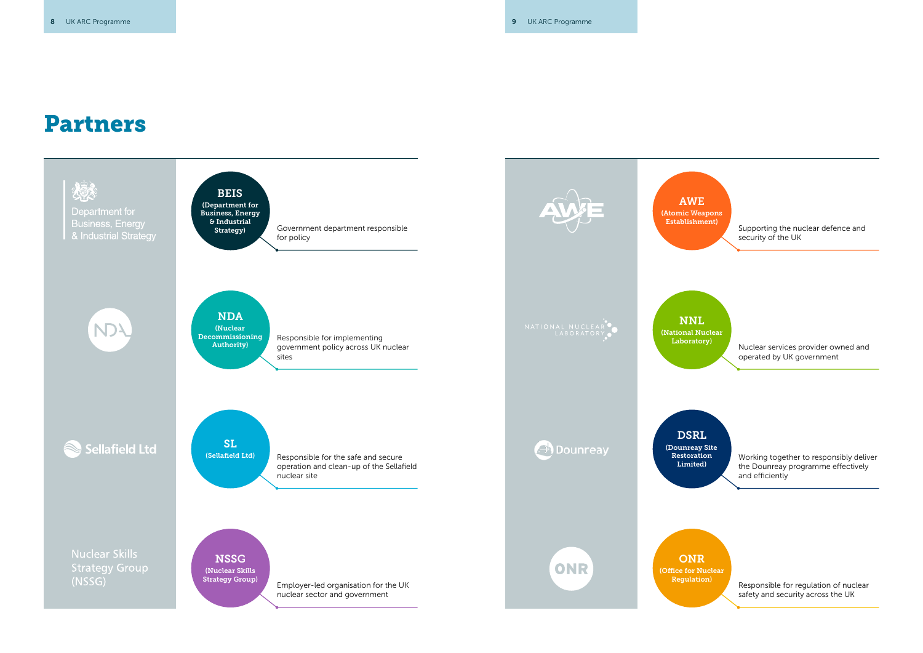Supporting the nuclear defence and security of the UK

Laboratory) Muclear services provider owned and operated by UK government

Working together to responsibly deliver the Dounreay programme effectively and efficiently

### Partners



Regulation) Responsible for regulation of nuclear safety and security across the UK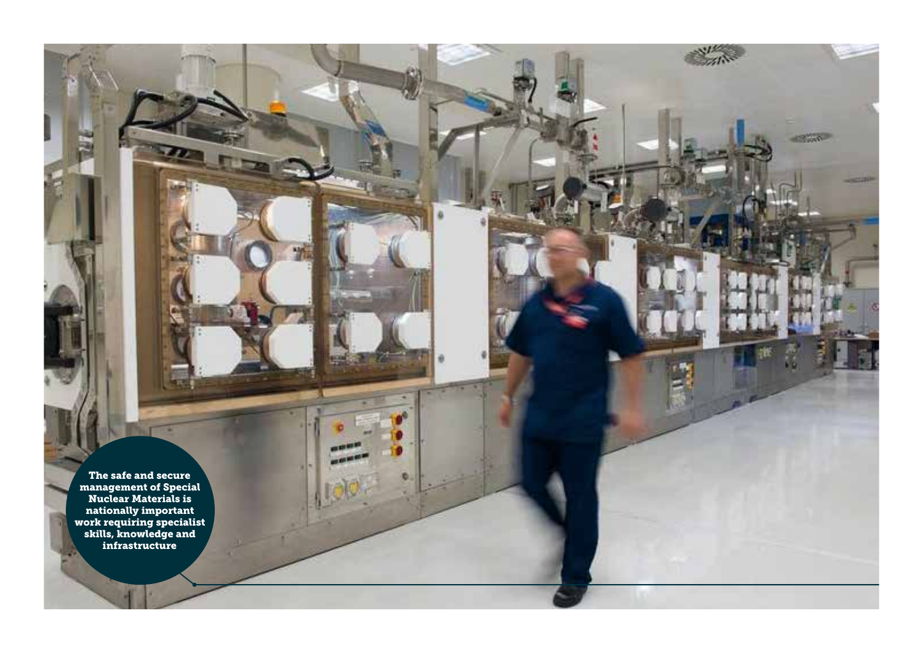The safe and secure management of Special Nuclear Materials is nationally important work requiring specialist skills, knowledge and infrastructure

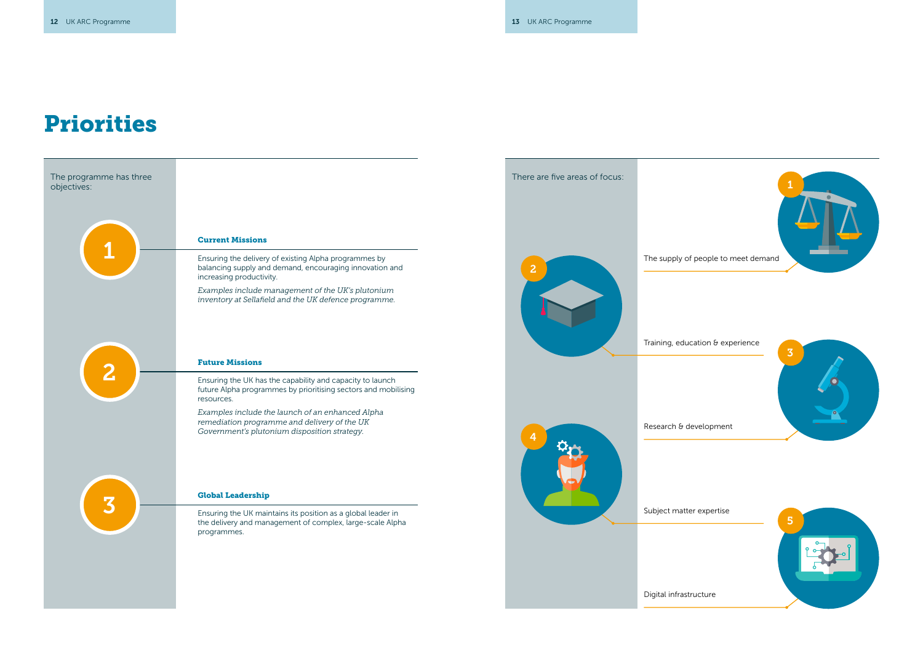## Priorities

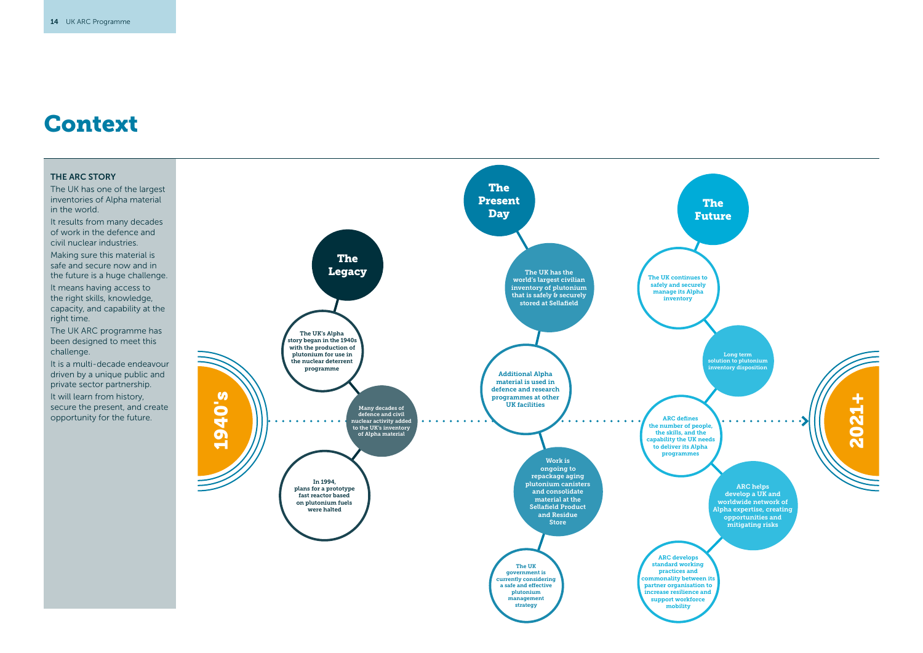#### THE ARC STORY

The UK has one of the largest inventories of Alpha material in the world.

It results from many decades of work in the defence and civil nuclear industries.

Making sure this material is safe and secure now and in the future is a huge challenge.

It means having access to the right skills, knowledge, capacity, and capability at the right time.

The UK ARC programme has been designed to meet this challenge.

It is a multi-decade endeavour driven by a unique public and private sector partnership. It will learn from history, secure the present, and create opportunity for the future.

### Context

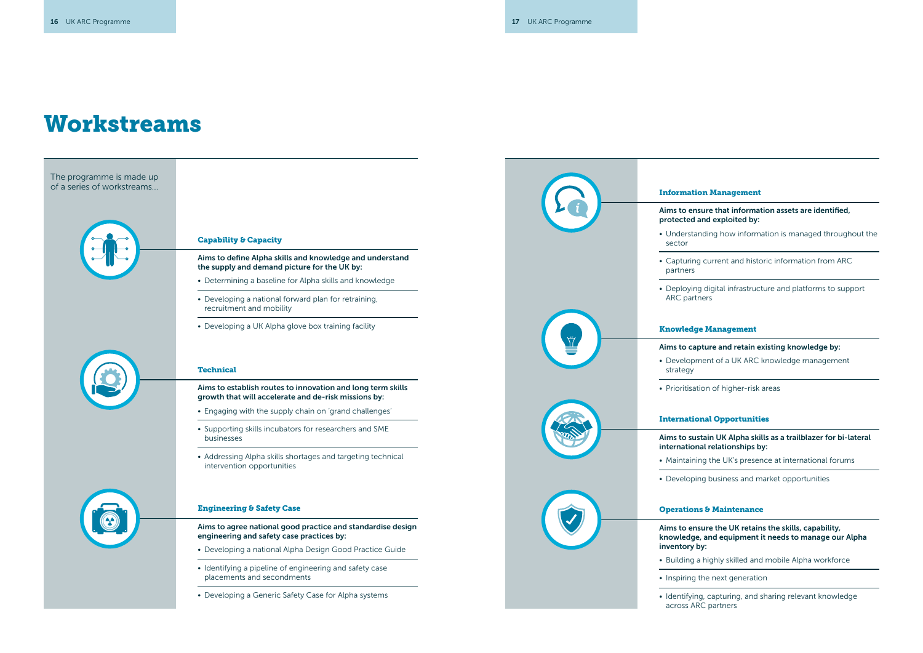### Workstreams

Aims to capture and retain existing knowledge by:

• Development of a UK ARC knowledge management

• Prioritisation of higher-risk areas

#### International Opportunities

Aims to sustain UK Alpha skills as a trailblazer for bi-lateral international relationships by:

• Maintaining the UK's presence at international forums



• Developing business and market opportunities

#### Operations & Maintenance

Aims to ensure the UK retains the skills, capability, knowledge, and equipment it needs to manage our Alpha

• Building a highly skilled and mobile Alpha workforce

• Inspiring the next generation

• Identifying, capturing, and sharing relevant knowledge across ARC partners

#### Information Management

Aims to ensure that information assets are identified, protected and exploited by:

• Understanding how information is managed throughout the

• Capturing current and historic information from ARC

• Deploying digital infrastructure and platforms to support